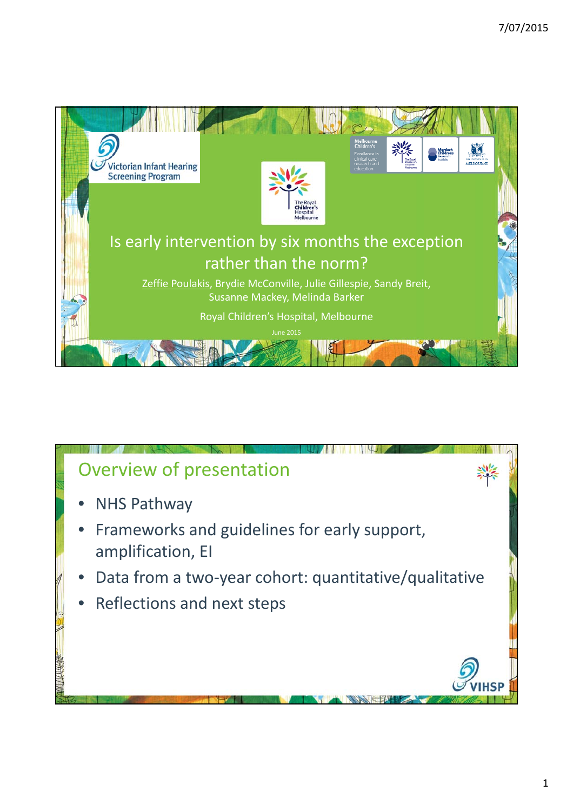

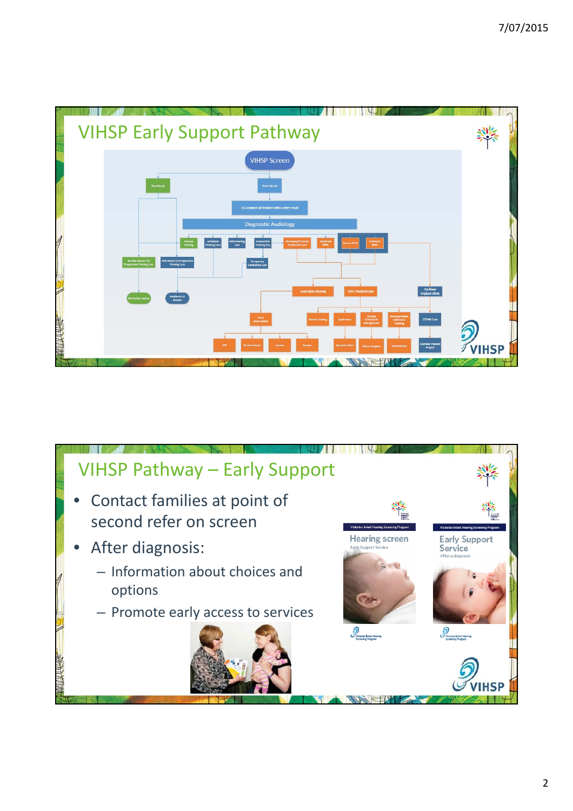

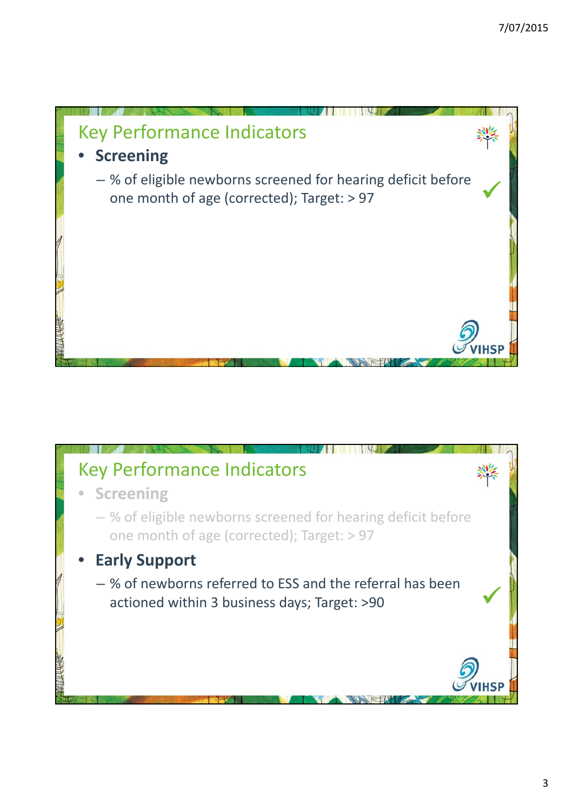

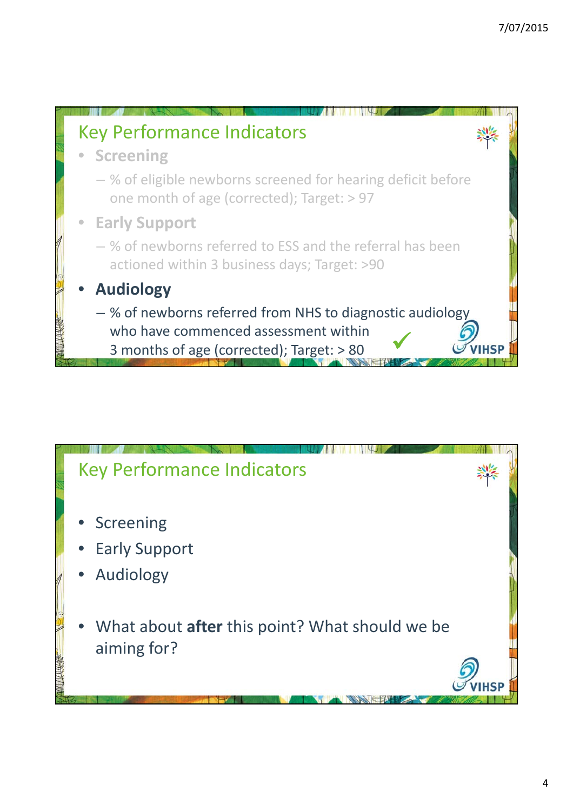

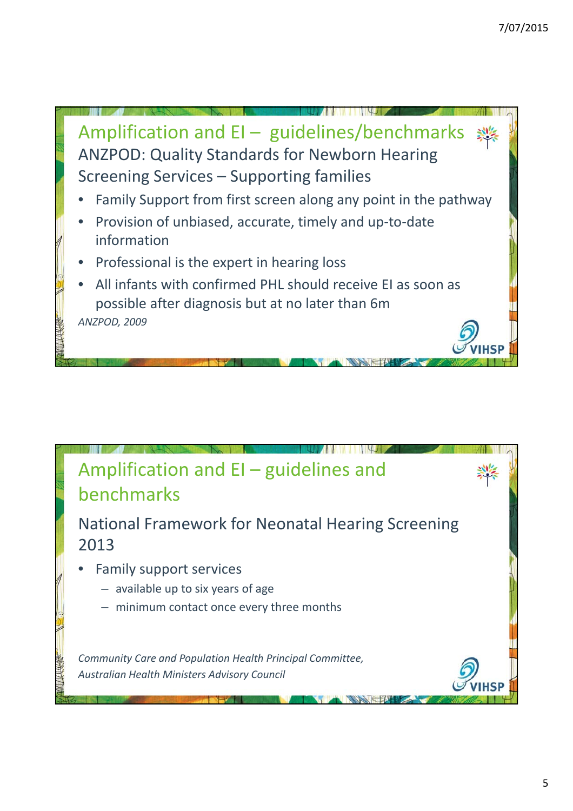

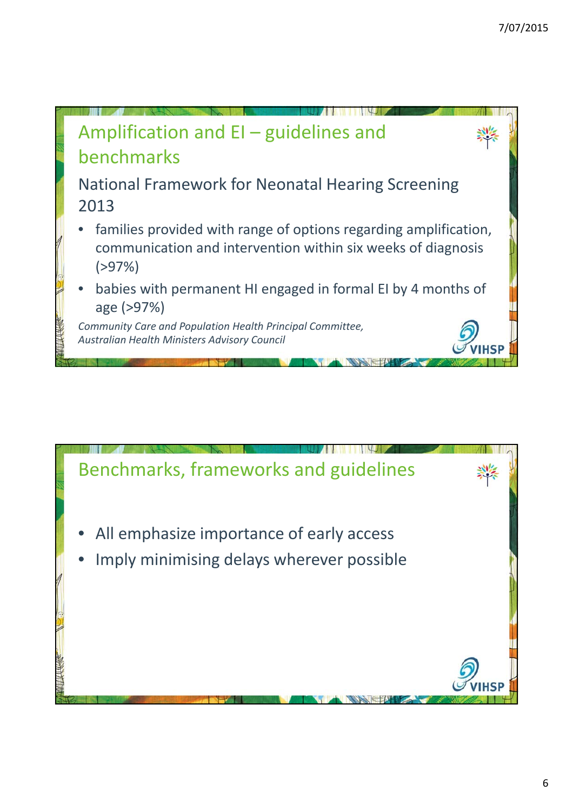

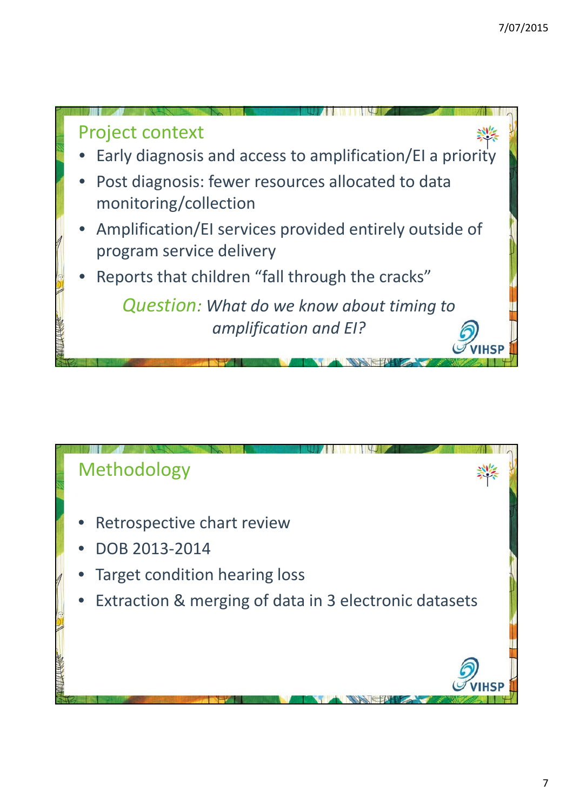

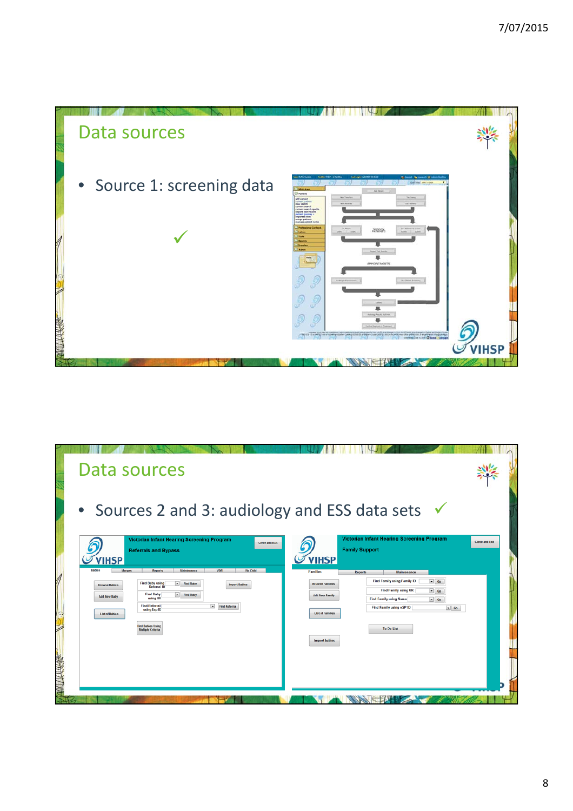

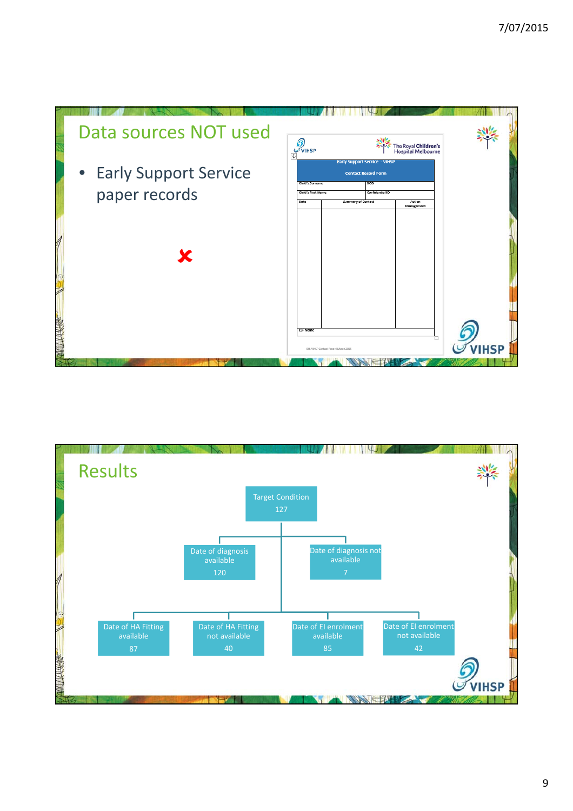

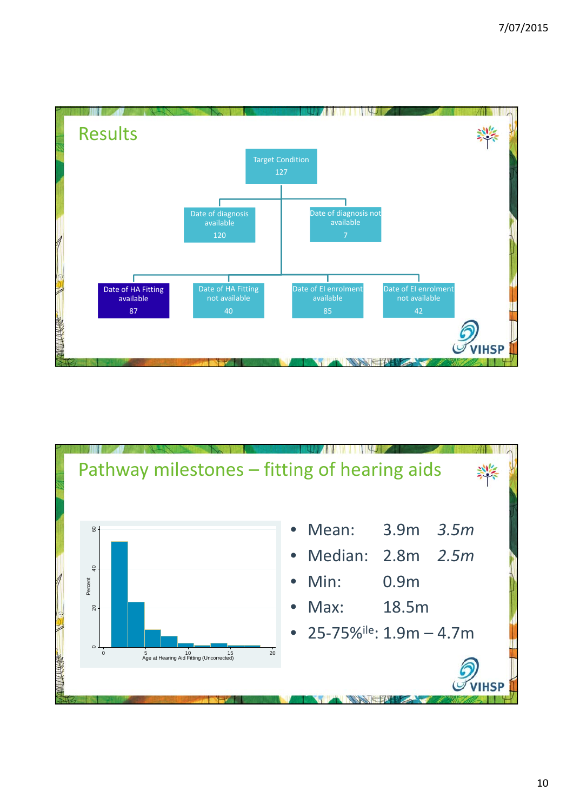

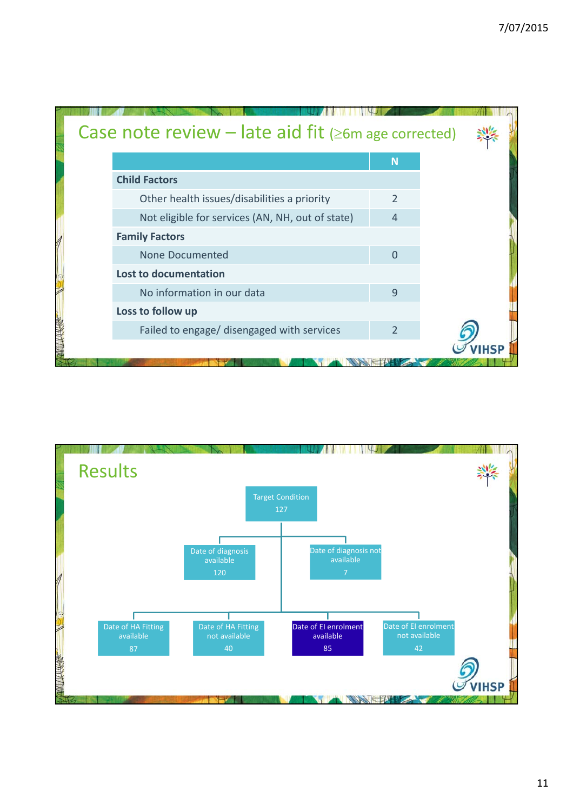| Case note review - late aid fit ( $\geq 6m$ age corrected) |                |  |
|------------------------------------------------------------|----------------|--|
|                                                            | N              |  |
| <b>Child Factors</b>                                       |                |  |
| Other health issues/disabilities a priority                | $\mathcal{P}$  |  |
| Not eligible for services (AN, NH, out of state)           | $\overline{4}$ |  |
| <b>Family Factors</b>                                      |                |  |
| None Documented                                            | $\overline{0}$ |  |
| Lost to documentation                                      |                |  |
| No information in our data                                 | 9              |  |
| Loss to follow up                                          |                |  |
| Failed to engage/ disengaged with services                 | $\mathcal{P}$  |  |
|                                                            |                |  |

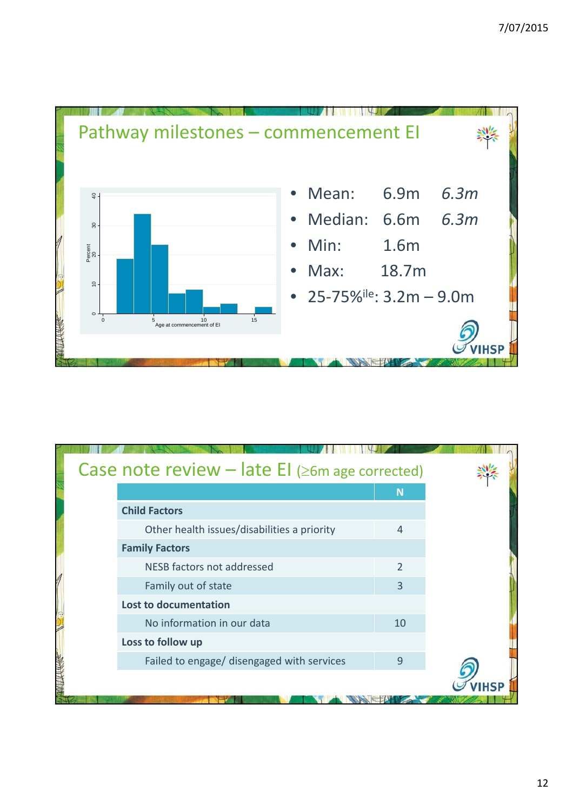

| Case note review $-$ late EI ( $\geq$ 6m age corrected) |                |  |
|---------------------------------------------------------|----------------|--|
|                                                         | N              |  |
| <b>Child Factors</b>                                    |                |  |
| Other health issues/disabilities a priority             | $\overline{4}$ |  |
| <b>Family Factors</b>                                   |                |  |
| NESB factors not addressed                              | $\mathfrak{D}$ |  |
| Family out of state                                     | 3              |  |
| Lost to documentation                                   |                |  |
| No information in our data                              | 10             |  |
| Loss to follow up                                       |                |  |
| Failed to engage/ disengaged with services              | 9              |  |
|                                                         |                |  |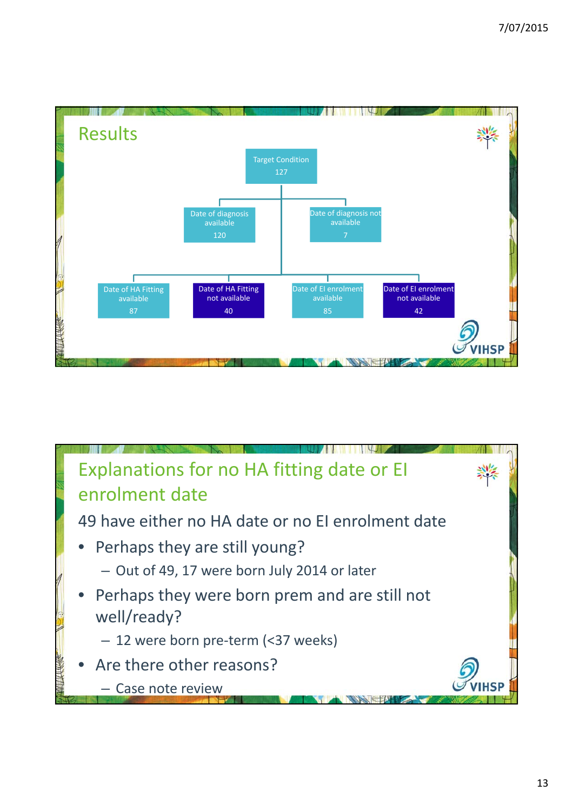

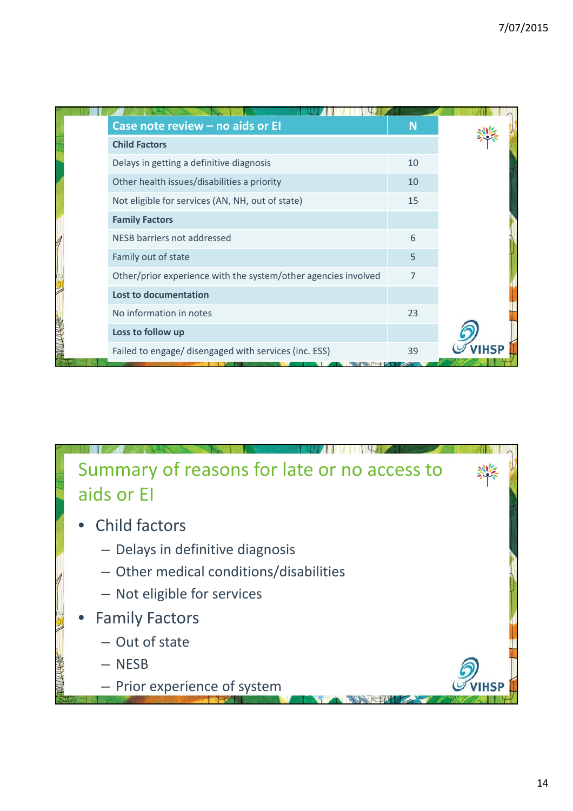| Case note review - no aids or El                               | <b>N</b> |  |
|----------------------------------------------------------------|----------|--|
| <b>Child Factors</b>                                           |          |  |
| Delays in getting a definitive diagnosis                       | 10       |  |
| Other health issues/disabilities a priority                    | 10       |  |
| Not eligible for services (AN, NH, out of state)               | 15       |  |
| <b>Family Factors</b>                                          |          |  |
| NESB barriers not addressed                                    | 6        |  |
| Family out of state                                            | 5        |  |
| Other/prior experience with the system/other agencies involved | 7        |  |
| <b>Lost to documentation</b>                                   |          |  |
| No information in notes                                        | 23       |  |
| Loss to follow up                                              |          |  |
| Failed to engage/ disengaged with services (inc. ESS)          | 39       |  |

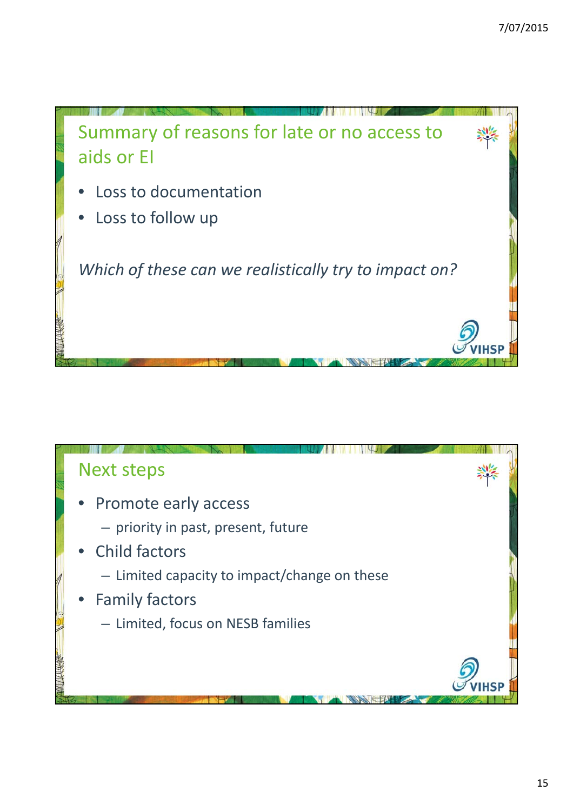

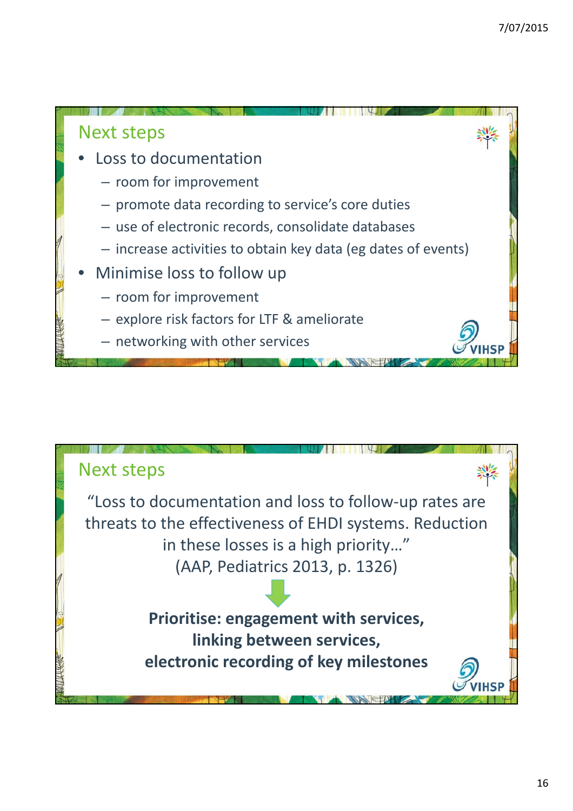